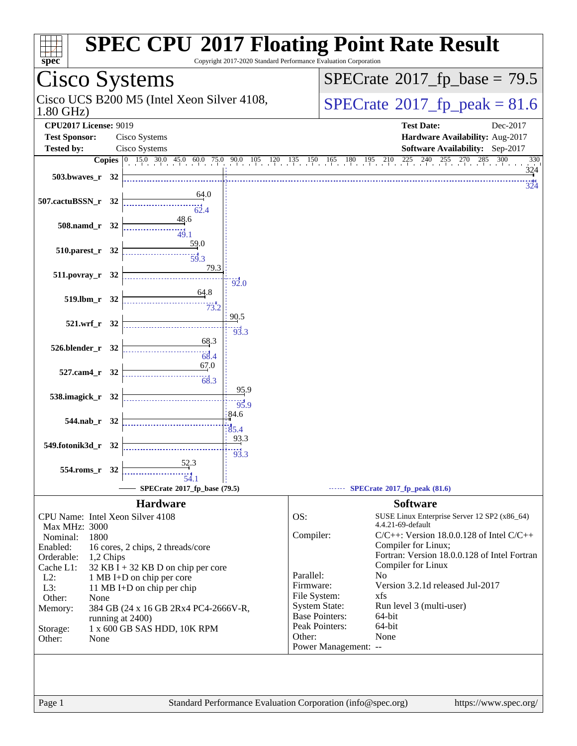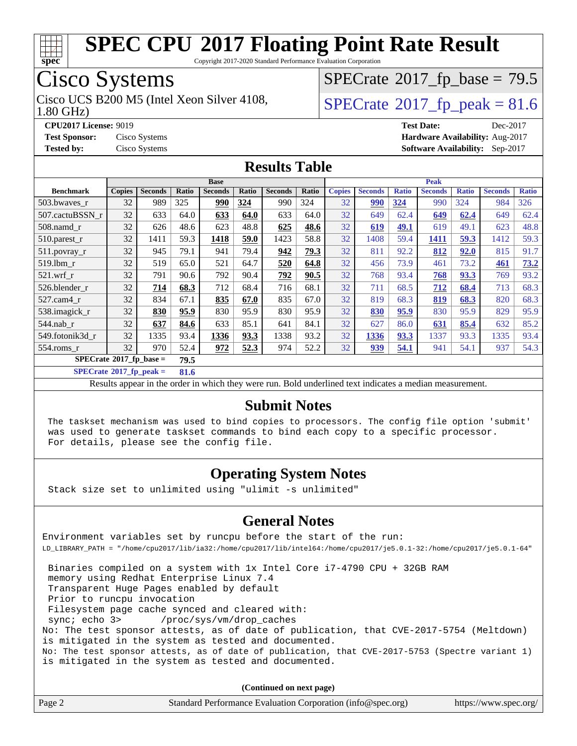

Copyright 2017-2020 Standard Performance Evaluation Corporation

## Cisco Systems

1.80 GHz) Cisco UCS B200 M5 (Intel Xeon Silver 4108,  $\vert$ [SPECrate](http://www.spec.org/auto/cpu2017/Docs/result-fields.html#SPECrate2017fppeak)®[2017\\_fp\\_peak = 8](http://www.spec.org/auto/cpu2017/Docs/result-fields.html#SPECrate2017fppeak)1.6

 $SPECTate@2017_fp\_base = 79.5$ 

**[CPU2017 License:](http://www.spec.org/auto/cpu2017/Docs/result-fields.html#CPU2017License)** 9019 **[Test Date:](http://www.spec.org/auto/cpu2017/Docs/result-fields.html#TestDate)** Dec-2017 **[Test Sponsor:](http://www.spec.org/auto/cpu2017/Docs/result-fields.html#TestSponsor)** Cisco Systems **[Hardware Availability:](http://www.spec.org/auto/cpu2017/Docs/result-fields.html#HardwareAvailability)** Aug-2017 **[Tested by:](http://www.spec.org/auto/cpu2017/Docs/result-fields.html#Testedby)** Cisco Systems **[Software Availability:](http://www.spec.org/auto/cpu2017/Docs/result-fields.html#SoftwareAvailability)** Sep-2017

### **[Results Table](http://www.spec.org/auto/cpu2017/Docs/result-fields.html#ResultsTable)**

|                                    | <b>Base</b>   |                |       |                |       | <b>Peak</b>    |       |               |                |              |                |              |                |              |
|------------------------------------|---------------|----------------|-------|----------------|-------|----------------|-------|---------------|----------------|--------------|----------------|--------------|----------------|--------------|
| <b>Benchmark</b>                   | <b>Copies</b> | <b>Seconds</b> | Ratio | <b>Seconds</b> | Ratio | <b>Seconds</b> | Ratio | <b>Copies</b> | <b>Seconds</b> | <b>Ratio</b> | <b>Seconds</b> | <b>Ratio</b> | <b>Seconds</b> | <b>Ratio</b> |
| 503.bwaves_r                       | 32            | 989            | 325   | 990            | 324   | 990            | 324   | 32            | 990            | 324          | 990            | 324          | 984            | 326          |
| 507.cactuBSSN r                    | 32            | 633            | 64.0  | 633            | 64.0  | 633            | 64.0  | 32            | 649            | 62.4         | 649            | 62.4         | 649            | 62.4         |
| 508.namd_r                         | 32            | 626            | 48.6  | 623            | 48.8  | 625            | 48.6  | 32            | 619            | 49.1         | 619            | 49.1         | 623            | 48.8         |
| $510$ .parest r                    | 32            | 1411           | 59.3  | 1418           | 59.0  | 1423           | 58.8  | 32            | 1408           | 59.4         | 1411           | 59.3         | 1412           | 59.3         |
| 511.povray_r                       | 32            | 945            | 79.1  | 941            | 79.4  | 942            | 79.3  | 32            | 811            | 92.2         | 812            | 92.0         | 815            | 91.7         |
| 519.1bm r                          | 32            | 519            | 65.0  | 521            | 64.7  | 520            | 64.8  | 32            | 456            | 73.9         | 461            | 73.2         | 461            | 73.2         |
| $521$ .wrf r                       | 32            | 791            | 90.6  | 792            | 90.4  | 792            | 90.5  | 32            | 768            | 93.4         | 768            | 93.3         | 769            | 93.2         |
| 526.blender r                      | 32            | 714            | 68.3  | 712            | 68.4  | 716            | 68.1  | 32            | 711            | 68.5         | 712            | 68.4         | 713            | 68.3         |
| 527.cam4 r                         | 32            | 834            | 67.1  | 835            | 67.0  | 835            | 67.0  | 32            | 819            | 68.3         | 819            | 68.3         | 820            | 68.3         |
| 538.imagick_r                      | 32            | 830            | 95.9  | 830            | 95.9  | 830            | 95.9  | 32            | 830            | 95.9         | 830            | 95.9         | 829            | 95.9         |
| $544$ .nab_r                       | 32            | 637            | 84.6  | 633            | 85.1  | 641            | 84.1  | 32            | 627            | 86.0         | 631            | 85.4         | 632            | 85.2         |
| 549.fotonik3d_r                    | 32            | 1335           | 93.4  | 1336           | 93.3  | 1338           | 93.2  | 32            | 1336           | 93.3         | 1337           | 93.3         | 1335           | 93.4         |
| 554.roms r                         | 32            | 970            | 52.4  | 972            | 52.3  | 974            | 52.2  | 32            | 939            | 54.1         | 941            | 54.1         | 937            | 54.3         |
| $SPECrate^{\otimes}2017$ fp base = |               |                | 79.5  |                |       |                |       |               |                |              |                |              |                |              |

**[SPECrate](http://www.spec.org/auto/cpu2017/Docs/result-fields.html#SPECrate2017fppeak)[2017\\_fp\\_peak =](http://www.spec.org/auto/cpu2017/Docs/result-fields.html#SPECrate2017fppeak) 81.6**

Results appear in the [order in which they were run.](http://www.spec.org/auto/cpu2017/Docs/result-fields.html#RunOrder) Bold underlined text [indicates a median measurement.](http://www.spec.org/auto/cpu2017/Docs/result-fields.html#Median)

#### **[Submit Notes](http://www.spec.org/auto/cpu2017/Docs/result-fields.html#SubmitNotes)**

 The taskset mechanism was used to bind copies to processors. The config file option 'submit' was used to generate taskset commands to bind each copy to a specific processor. For details, please see the config file.

### **[Operating System Notes](http://www.spec.org/auto/cpu2017/Docs/result-fields.html#OperatingSystemNotes)**

Stack size set to unlimited using "ulimit -s unlimited"

#### **[General Notes](http://www.spec.org/auto/cpu2017/Docs/result-fields.html#GeneralNotes)**

Environment variables set by runcpu before the start of the run: LD\_LIBRARY\_PATH = "/home/cpu2017/lib/ia32:/home/cpu2017/lib/intel64:/home/cpu2017/je5.0.1-32:/home/cpu2017/je5.0.1-64"

 Binaries compiled on a system with 1x Intel Core i7-4790 CPU + 32GB RAM memory using Redhat Enterprise Linux 7.4 Transparent Huge Pages enabled by default Prior to runcpu invocation Filesystem page cache synced and cleared with: sync; echo 3> /proc/sys/vm/drop\_caches No: The test sponsor attests, as of date of publication, that CVE-2017-5754 (Meltdown) is mitigated in the system as tested and documented. No: The test sponsor attests, as of date of publication, that CVE-2017-5753 (Spectre variant 1) is mitigated in the system as tested and documented.

**(Continued on next page)**

| Page 2 | Standard Performance Evaluation Corporation (info@spec.org) | https://www.spec.org/ |
|--------|-------------------------------------------------------------|-----------------------|
|--------|-------------------------------------------------------------|-----------------------|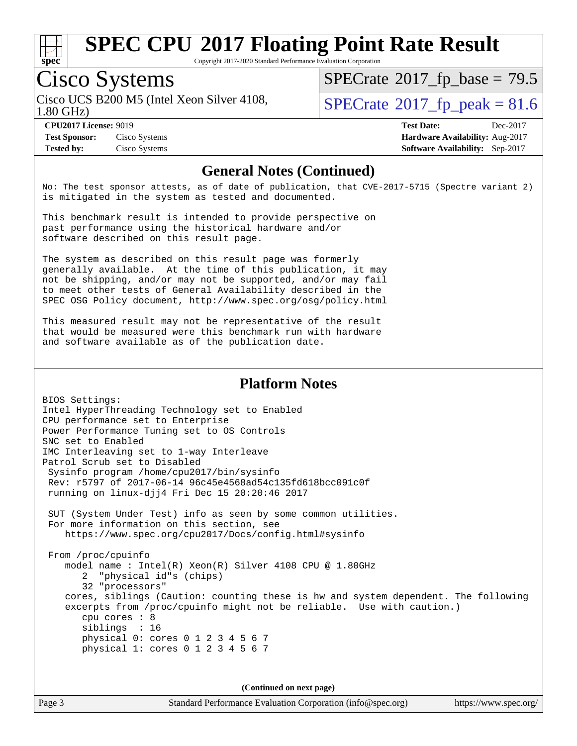

Copyright 2017-2020 Standard Performance Evaluation Corporation

# Cisco Systems

1.80 GHz) Cisco UCS B200 M5 (Intel Xeon Silver 4108,  $\vert$ [SPECrate](http://www.spec.org/auto/cpu2017/Docs/result-fields.html#SPECrate2017fppeak)®[2017\\_fp\\_peak = 8](http://www.spec.org/auto/cpu2017/Docs/result-fields.html#SPECrate2017fppeak)1.6

 $SPECTate@2017_fp\_base = 79.5$ 

**[Test Sponsor:](http://www.spec.org/auto/cpu2017/Docs/result-fields.html#TestSponsor)** Cisco Systems **[Hardware Availability:](http://www.spec.org/auto/cpu2017/Docs/result-fields.html#HardwareAvailability)** Aug-2017 **[Tested by:](http://www.spec.org/auto/cpu2017/Docs/result-fields.html#Testedby)** Cisco Systems **[Software Availability:](http://www.spec.org/auto/cpu2017/Docs/result-fields.html#SoftwareAvailability)** Sep-2017

**[CPU2017 License:](http://www.spec.org/auto/cpu2017/Docs/result-fields.html#CPU2017License)** 9019 **[Test Date:](http://www.spec.org/auto/cpu2017/Docs/result-fields.html#TestDate)** Dec-2017

#### **[General Notes \(Continued\)](http://www.spec.org/auto/cpu2017/Docs/result-fields.html#GeneralNotes)**

No: The test sponsor attests, as of date of publication, that CVE-2017-5715 (Spectre variant 2) is mitigated in the system as tested and documented.

This benchmark result is intended to provide perspective on past performance using the historical hardware and/or software described on this result page.

The system as described on this result page was formerly generally available. At the time of this publication, it may not be shipping, and/or may not be supported, and/or may fail to meet other tests of General Availability described in the SPEC OSG Policy document, <http://www.spec.org/osg/policy.html>

This measured result may not be representative of the result that would be measured were this benchmark run with hardware and software available as of the publication date.

#### **[Platform Notes](http://www.spec.org/auto/cpu2017/Docs/result-fields.html#PlatformNotes)**

BIOS Settings: Intel HyperThreading Technology set to Enabled CPU performance set to Enterprise Power Performance Tuning set to OS Controls SNC set to Enabled IMC Interleaving set to 1-way Interleave Patrol Scrub set to Disabled Sysinfo program /home/cpu2017/bin/sysinfo Rev: r5797 of 2017-06-14 96c45e4568ad54c135fd618bcc091c0f running on linux-djj4 Fri Dec 15 20:20:46 2017 SUT (System Under Test) info as seen by some common utilities. For more information on this section, see <https://www.spec.org/cpu2017/Docs/config.html#sysinfo> From /proc/cpuinfo model name : Intel(R) Xeon(R) Silver 4108 CPU @ 1.80GHz 2 "physical id"s (chips) 32 "processors" cores, siblings (Caution: counting these is hw and system dependent. The following excerpts from /proc/cpuinfo might not be reliable. Use with caution.) cpu cores : 8 siblings : 16 physical 0: cores 0 1 2 3 4 5 6 7 physical 1: cores 0 1 2 3 4 5 6 7

**(Continued on next page)**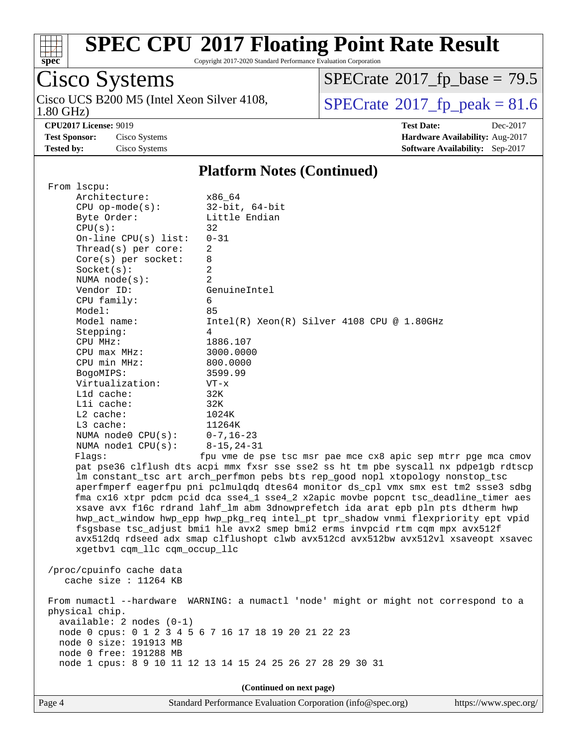

Copyright 2017-2020 Standard Performance Evaluation Corporation

# Cisco Systems

1.80 GHz) Cisco UCS B200 M5 (Intel Xeon Silver 4108,  $\overline{SPECrate}$  $\overline{SPECrate}$  $\overline{SPECrate}$ <sup>®</sup>[2017\\_fp\\_peak = 8](http://www.spec.org/auto/cpu2017/Docs/result-fields.html#SPECrate2017fppeak)1.6

 $SPECrate$ <sup>®</sup>[2017\\_fp\\_base =](http://www.spec.org/auto/cpu2017/Docs/result-fields.html#SPECrate2017fpbase) 79.5

**[CPU2017 License:](http://www.spec.org/auto/cpu2017/Docs/result-fields.html#CPU2017License)** 9019 **[Test Date:](http://www.spec.org/auto/cpu2017/Docs/result-fields.html#TestDate)** Dec-2017 **[Test Sponsor:](http://www.spec.org/auto/cpu2017/Docs/result-fields.html#TestSponsor)** Cisco Systems **[Hardware Availability:](http://www.spec.org/auto/cpu2017/Docs/result-fields.html#HardwareAvailability)** Aug-2017 **[Tested by:](http://www.spec.org/auto/cpu2017/Docs/result-fields.html#Testedby)** Cisco Systems **[Software Availability:](http://www.spec.org/auto/cpu2017/Docs/result-fields.html#SoftwareAvailability)** Sep-2017

#### **[Platform Notes \(Continued\)](http://www.spec.org/auto/cpu2017/Docs/result-fields.html#PlatformNotes)**

| From lscpu:                   |                                                                                                                                                                         |
|-------------------------------|-------------------------------------------------------------------------------------------------------------------------------------------------------------------------|
| Architecture:                 | x86 64                                                                                                                                                                  |
| $CPU$ op-mode( $s$ ):         | $32$ -bit, $64$ -bit                                                                                                                                                    |
| Byte Order:                   | Little Endian                                                                                                                                                           |
| CPU(s):                       | 32                                                                                                                                                                      |
| On-line $CPU(s)$ list:        | $0 - 31$                                                                                                                                                                |
| Thread(s) per core:           | 2                                                                                                                                                                       |
| Core(s) per socket:           | 8                                                                                                                                                                       |
| Socket(s):                    | 2                                                                                                                                                                       |
| NUMA $node(s):$               | 2                                                                                                                                                                       |
| Vendor ID:                    | GenuineIntel                                                                                                                                                            |
| CPU family:                   | 6                                                                                                                                                                       |
| Model:                        | 85                                                                                                                                                                      |
| Model name:                   | Intel(R) Xeon(R) Silver 4108 CPU @ 1.80GHz                                                                                                                              |
| Stepping:                     | 4                                                                                                                                                                       |
| CPU MHz:                      | 1886.107                                                                                                                                                                |
| $CPU$ max $MHz$ :             | 3000.0000                                                                                                                                                               |
| CPU min MHz:                  | 800.0000                                                                                                                                                                |
| BogoMIPS:                     | 3599.99                                                                                                                                                                 |
| Virtualization:               | $VT - x$                                                                                                                                                                |
| L1d cache:                    | 32K                                                                                                                                                                     |
| Lli cache:                    | 32K                                                                                                                                                                     |
| L2 cache:                     | 1024K                                                                                                                                                                   |
| $L3$ cache:                   | 11264K                                                                                                                                                                  |
| NUMA $node0$ $CPU(s):$        | 0-7,16-23                                                                                                                                                               |
| NUMA $node1$ $CPU(s):$        | $8 - 15, 24 - 31$                                                                                                                                                       |
| Flags:                        | fpu vme de pse tsc msr pae mce cx8 apic sep mtrr pge mca cmov                                                                                                           |
|                               | pat pse36 clflush dts acpi mmx fxsr sse sse2 ss ht tm pbe syscall nx pdpelgb rdtscp                                                                                     |
|                               | lm constant_tsc art arch_perfmon pebs bts rep_good nopl xtopology nonstop_tsc                                                                                           |
|                               | aperfmperf eagerfpu pni pclmulqdq dtes64 monitor ds_cpl vmx smx est tm2 ssse3 sdbg                                                                                      |
|                               | fma cx16 xtpr pdcm pcid dca sse4_1 sse4_2 x2apic movbe popcnt tsc_deadline_timer aes<br>xsave avx f16c rdrand lahf_lm abm 3dnowprefetch ida arat epb pln pts dtherm hwp |
|                               |                                                                                                                                                                         |
|                               | hwp_act_window hwp_epp hwp_pkg_req intel_pt tpr_shadow vnmi flexpriority ept vpid<br>fsgsbase tsc_adjust bmil hle avx2 smep bmi2 erms invpcid rtm cqm mpx avx512f       |
|                               |                                                                                                                                                                         |
| xgetbv1 cqm_llc cqm_occup_llc | avx512dq rdseed adx smap clflushopt clwb avx512cd avx512bw avx512vl xsaveopt xsavec                                                                                     |
|                               |                                                                                                                                                                         |
| /proc/cpuinfo cache data      |                                                                                                                                                                         |
| cache size : 11264 KB         |                                                                                                                                                                         |
|                               |                                                                                                                                                                         |
| From numactl --hardware       | WARNING: a numactl 'node' might or might not correspond to a                                                                                                            |
| physical chip.                |                                                                                                                                                                         |
| $available: 2 nodes (0-1)$    |                                                                                                                                                                         |
|                               | node 0 cpus: 0 1 2 3 4 5 6 7 16 17 18 19 20 21 22 23                                                                                                                    |
| node 0 size: 191913 MB        |                                                                                                                                                                         |
| node 0 free: 191288 MB        |                                                                                                                                                                         |
|                               | node 1 cpus: 8 9 10 11 12 13 14 15 24 25 26 27 28 29 30 31                                                                                                              |
|                               |                                                                                                                                                                         |
|                               | (Continued on next page)                                                                                                                                                |
|                               |                                                                                                                                                                         |

Page 4 Standard Performance Evaluation Corporation [\(info@spec.org\)](mailto:info@spec.org) <https://www.spec.org/>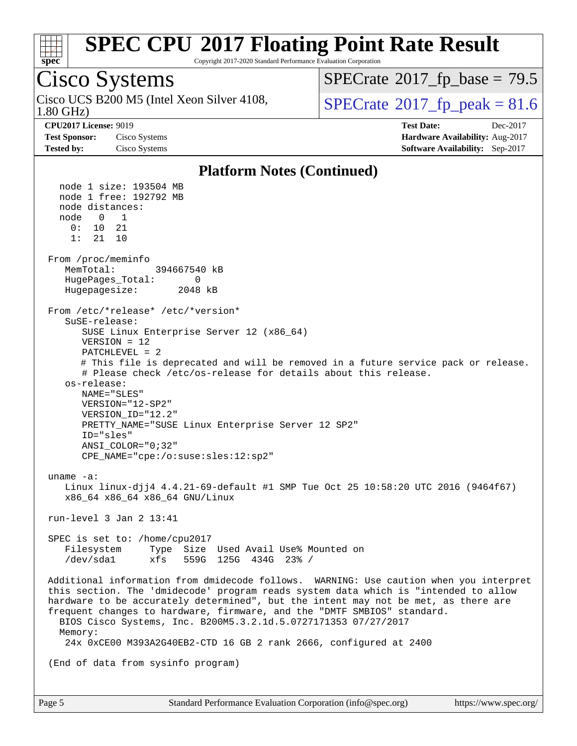

Copyright 2017-2020 Standard Performance Evaluation Corporation

## Cisco Systems

1.80 GHz) Cisco UCS B200 M5 (Intel Xeon Silver 4108,  $\vert$ [SPECrate](http://www.spec.org/auto/cpu2017/Docs/result-fields.html#SPECrate2017fppeak)®[2017\\_fp\\_peak = 8](http://www.spec.org/auto/cpu2017/Docs/result-fields.html#SPECrate2017fppeak)1.6

 $SPECTate@2017_fp\_base = 79.5$ 

**[CPU2017 License:](http://www.spec.org/auto/cpu2017/Docs/result-fields.html#CPU2017License)** 9019 **[Test Date:](http://www.spec.org/auto/cpu2017/Docs/result-fields.html#TestDate)** Dec-2017 **[Test Sponsor:](http://www.spec.org/auto/cpu2017/Docs/result-fields.html#TestSponsor)** Cisco Systems **[Hardware Availability:](http://www.spec.org/auto/cpu2017/Docs/result-fields.html#HardwareAvailability)** Aug-2017 **[Tested by:](http://www.spec.org/auto/cpu2017/Docs/result-fields.html#Testedby)** Cisco Systems **[Software Availability:](http://www.spec.org/auto/cpu2017/Docs/result-fields.html#SoftwareAvailability)** Sep-2017

#### **[Platform Notes \(Continued\)](http://www.spec.org/auto/cpu2017/Docs/result-fields.html#PlatformNotes)**

 node 1 size: 193504 MB node 1 free: 192792 MB node distances: node 0 1 0: 10 21 1: 21 10 From /proc/meminfo MemTotal: 394667540 kB HugePages\_Total: 0 Hugepagesize: 2048 kB From /etc/\*release\* /etc/\*version\* SuSE-release: SUSE Linux Enterprise Server 12 (x86\_64) VERSION = 12 PATCHLEVEL = 2 # This file is deprecated and will be removed in a future service pack or release. # Please check /etc/os-release for details about this release. os-release: NAME="SLES" VERSION="12-SP2" VERSION\_ID="12.2" PRETTY\_NAME="SUSE Linux Enterprise Server 12 SP2" ID="sles" ANSI\_COLOR="0;32" CPE\_NAME="cpe:/o:suse:sles:12:sp2" uname -a: Linux linux-djj4 4.4.21-69-default #1 SMP Tue Oct 25 10:58:20 UTC 2016 (9464f67) x86\_64 x86\_64 x86\_64 GNU/Linux run-level 3 Jan 2 13:41 SPEC is set to: /home/cpu2017 Filesystem Type Size Used Avail Use% Mounted on /dev/sda1 xfs 559G 125G 434G 23% / Additional information from dmidecode follows. WARNING: Use caution when you interpret this section. The 'dmidecode' program reads system data which is "intended to allow hardware to be accurately determined", but the intent may not be met, as there are frequent changes to hardware, firmware, and the "DMTF SMBIOS" standard. BIOS Cisco Systems, Inc. B200M5.3.2.1d.5.0727171353 07/27/2017 Memory: 24x 0xCE00 M393A2G40EB2-CTD 16 GB 2 rank 2666, configured at 2400 (End of data from sysinfo program)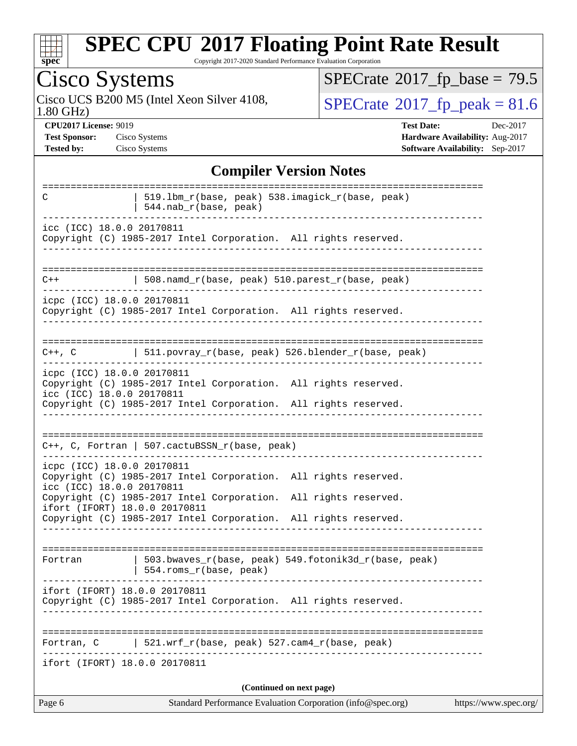

Copyright 2017-2020 Standard Performance Evaluation Corporation

# Cisco Systems

1.80 GHz) Cisco UCS B200 M5 (Intel Xeon Silver 4108,  $\overline{SPECrate}$  $\overline{SPECrate}$  $\overline{SPECrate}$ <sup>®</sup>[2017\\_fp\\_peak = 8](http://www.spec.org/auto/cpu2017/Docs/result-fields.html#SPECrate2017fppeak)1.6

 $SPECrate$ <sup>®</sup>[2017\\_fp\\_base =](http://www.spec.org/auto/cpu2017/Docs/result-fields.html#SPECrate2017fpbase) 79.5

**[CPU2017 License:](http://www.spec.org/auto/cpu2017/Docs/result-fields.html#CPU2017License)** 9019 **[Test Date:](http://www.spec.org/auto/cpu2017/Docs/result-fields.html#TestDate)** Dec-2017 **[Test Sponsor:](http://www.spec.org/auto/cpu2017/Docs/result-fields.html#TestSponsor)** Cisco Systems **[Hardware Availability:](http://www.spec.org/auto/cpu2017/Docs/result-fields.html#HardwareAvailability)** Aug-2017 **[Tested by:](http://www.spec.org/auto/cpu2017/Docs/result-fields.html#Testedby)** Cisco Systems **[Software Availability:](http://www.spec.org/auto/cpu2017/Docs/result-fields.html#SoftwareAvailability)** Sep-2017

#### **[Compiler Version Notes](http://www.spec.org/auto/cpu2017/Docs/result-fields.html#CompilerVersionNotes)**

| C                                                       | 519.1bm_r(base, peak) 538.imagick_r(base, peak)<br>544.nab_r(base, peak)                                                           |                       |
|---------------------------------------------------------|------------------------------------------------------------------------------------------------------------------------------------|-----------------------|
| icc (ICC) 18.0.0 20170811                               | Copyright (C) 1985-2017 Intel Corporation. All rights reserved.                                                                    |                       |
| $C++$                                                   | 508.namd_r(base, peak) 510.parest_r(base, peak)                                                                                    |                       |
| icpc (ICC) 18.0.0 20170811                              | Copyright (C) 1985-2017 Intel Corporation. All rights reserved.<br>___________________                                             |                       |
|                                                         | C++, C $ $ 511.povray_r(base, peak) 526.blender_r(base, peak)                                                                      |                       |
| icpc (ICC) 18.0.0 20170811<br>icc (ICC) 18.0.0 20170811 | Copyright (C) 1985-2017 Intel Corporation. All rights reserved.<br>Copyright (C) 1985-2017 Intel Corporation. All rights reserved. |                       |
|                                                         | C++, C, Fortran   507.cactuBSSN_r(base, peak)                                                                                      |                       |
| icpc (ICC) 18.0.0 20170811<br>icc (ICC) 18.0.0 20170811 | Copyright (C) 1985-2017 Intel Corporation. All rights reserved.<br>Copyright (C) 1985-2017 Intel Corporation. All rights reserved. |                       |
| ifort (IFORT) 18.0.0 20170811                           | Copyright (C) 1985-2017 Intel Corporation. All rights reserved.                                                                    |                       |
| Fortran                                                 | 503.bwaves_r(base, peak) 549.fotonik3d_r(base, peak)<br>554.roms_r(base, peak)                                                     |                       |
| ifort (IFORT) 18.0.0 20170811                           | Copyright (C) 1985-2017 Intel Corporation. All rights reserved.                                                                    |                       |
| Fortran, C                                              | 521.wrf_r(base, peak) 527.cam4_r(base, peak)                                                                                       |                       |
| ifort (IFORT) 18.0.0 20170811                           |                                                                                                                                    |                       |
| Page 6                                                  | (Continued on next page)<br>Standard Performance Evaluation Corporation (info@spec.org)                                            | https://www.spec.org/ |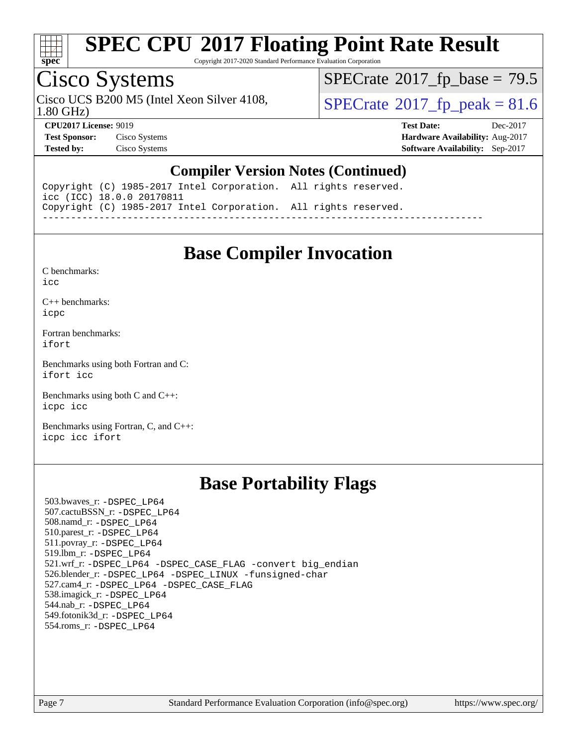

Copyright 2017-2020 Standard Performance Evaluation Corporation

### Cisco Systems

Cisco UCS B200 M5 (Intel Xeon Silver 4108,  $\vert$ [SPECrate](http://www.spec.org/auto/cpu2017/Docs/result-fields.html#SPECrate2017fppeak)®[2017\\_fp\\_peak = 8](http://www.spec.org/auto/cpu2017/Docs/result-fields.html#SPECrate2017fppeak)1.6

 $SPECTate@2017_fp\_base = 79.5$ 

1.80 GHz)

**[Tested by:](http://www.spec.org/auto/cpu2017/Docs/result-fields.html#Testedby)** Cisco Systems **[Software Availability:](http://www.spec.org/auto/cpu2017/Docs/result-fields.html#SoftwareAvailability)** Sep-2017

**[CPU2017 License:](http://www.spec.org/auto/cpu2017/Docs/result-fields.html#CPU2017License)** 9019 **[Test Date:](http://www.spec.org/auto/cpu2017/Docs/result-fields.html#TestDate)** Dec-2017 **[Test Sponsor:](http://www.spec.org/auto/cpu2017/Docs/result-fields.html#TestSponsor)** Cisco Systems **[Hardware Availability:](http://www.spec.org/auto/cpu2017/Docs/result-fields.html#HardwareAvailability)** Aug-2017

### **[Compiler Version Notes \(Continued\)](http://www.spec.org/auto/cpu2017/Docs/result-fields.html#CompilerVersionNotes)**

Copyright (C) 1985-2017 Intel Corporation. All rights reserved. icc (ICC) 18.0.0 20170811 Copyright (C) 1985-2017 Intel Corporation. All rights reserved. ------------------------------------------------------------------------------

### **[Base Compiler Invocation](http://www.spec.org/auto/cpu2017/Docs/result-fields.html#BaseCompilerInvocation)**

[C benchmarks](http://www.spec.org/auto/cpu2017/Docs/result-fields.html#Cbenchmarks):

[icc](http://www.spec.org/cpu2017/results/res2018q1/cpu2017-20171225-02052.flags.html#user_CCbase_intel_icc_18.0_66fc1ee009f7361af1fbd72ca7dcefbb700085f36577c54f309893dd4ec40d12360134090235512931783d35fd58c0460139e722d5067c5574d8eaf2b3e37e92)

[C++ benchmarks:](http://www.spec.org/auto/cpu2017/Docs/result-fields.html#CXXbenchmarks) [icpc](http://www.spec.org/cpu2017/results/res2018q1/cpu2017-20171225-02052.flags.html#user_CXXbase_intel_icpc_18.0_c510b6838c7f56d33e37e94d029a35b4a7bccf4766a728ee175e80a419847e808290a9b78be685c44ab727ea267ec2f070ec5dc83b407c0218cded6866a35d07)

[Fortran benchmarks](http://www.spec.org/auto/cpu2017/Docs/result-fields.html#Fortranbenchmarks): [ifort](http://www.spec.org/cpu2017/results/res2018q1/cpu2017-20171225-02052.flags.html#user_FCbase_intel_ifort_18.0_8111460550e3ca792625aed983ce982f94888b8b503583aa7ba2b8303487b4d8a21a13e7191a45c5fd58ff318f48f9492884d4413fa793fd88dd292cad7027ca)

[Benchmarks using both Fortran and C](http://www.spec.org/auto/cpu2017/Docs/result-fields.html#BenchmarksusingbothFortranandC): [ifort](http://www.spec.org/cpu2017/results/res2018q1/cpu2017-20171225-02052.flags.html#user_CC_FCbase_intel_ifort_18.0_8111460550e3ca792625aed983ce982f94888b8b503583aa7ba2b8303487b4d8a21a13e7191a45c5fd58ff318f48f9492884d4413fa793fd88dd292cad7027ca) [icc](http://www.spec.org/cpu2017/results/res2018q1/cpu2017-20171225-02052.flags.html#user_CC_FCbase_intel_icc_18.0_66fc1ee009f7361af1fbd72ca7dcefbb700085f36577c54f309893dd4ec40d12360134090235512931783d35fd58c0460139e722d5067c5574d8eaf2b3e37e92)

[Benchmarks using both C and C++](http://www.spec.org/auto/cpu2017/Docs/result-fields.html#BenchmarksusingbothCandCXX): [icpc](http://www.spec.org/cpu2017/results/res2018q1/cpu2017-20171225-02052.flags.html#user_CC_CXXbase_intel_icpc_18.0_c510b6838c7f56d33e37e94d029a35b4a7bccf4766a728ee175e80a419847e808290a9b78be685c44ab727ea267ec2f070ec5dc83b407c0218cded6866a35d07) [icc](http://www.spec.org/cpu2017/results/res2018q1/cpu2017-20171225-02052.flags.html#user_CC_CXXbase_intel_icc_18.0_66fc1ee009f7361af1fbd72ca7dcefbb700085f36577c54f309893dd4ec40d12360134090235512931783d35fd58c0460139e722d5067c5574d8eaf2b3e37e92)

[Benchmarks using Fortran, C, and C++:](http://www.spec.org/auto/cpu2017/Docs/result-fields.html#BenchmarksusingFortranCandCXX) [icpc](http://www.spec.org/cpu2017/results/res2018q1/cpu2017-20171225-02052.flags.html#user_CC_CXX_FCbase_intel_icpc_18.0_c510b6838c7f56d33e37e94d029a35b4a7bccf4766a728ee175e80a419847e808290a9b78be685c44ab727ea267ec2f070ec5dc83b407c0218cded6866a35d07) [icc](http://www.spec.org/cpu2017/results/res2018q1/cpu2017-20171225-02052.flags.html#user_CC_CXX_FCbase_intel_icc_18.0_66fc1ee009f7361af1fbd72ca7dcefbb700085f36577c54f309893dd4ec40d12360134090235512931783d35fd58c0460139e722d5067c5574d8eaf2b3e37e92) [ifort](http://www.spec.org/cpu2017/results/res2018q1/cpu2017-20171225-02052.flags.html#user_CC_CXX_FCbase_intel_ifort_18.0_8111460550e3ca792625aed983ce982f94888b8b503583aa7ba2b8303487b4d8a21a13e7191a45c5fd58ff318f48f9492884d4413fa793fd88dd292cad7027ca)

### **[Base Portability Flags](http://www.spec.org/auto/cpu2017/Docs/result-fields.html#BasePortabilityFlags)**

 503.bwaves\_r: [-DSPEC\\_LP64](http://www.spec.org/cpu2017/results/res2018q1/cpu2017-20171225-02052.flags.html#suite_basePORTABILITY503_bwaves_r_DSPEC_LP64) 507.cactuBSSN\_r: [-DSPEC\\_LP64](http://www.spec.org/cpu2017/results/res2018q1/cpu2017-20171225-02052.flags.html#suite_basePORTABILITY507_cactuBSSN_r_DSPEC_LP64) 508.namd\_r: [-DSPEC\\_LP64](http://www.spec.org/cpu2017/results/res2018q1/cpu2017-20171225-02052.flags.html#suite_basePORTABILITY508_namd_r_DSPEC_LP64) 510.parest\_r: [-DSPEC\\_LP64](http://www.spec.org/cpu2017/results/res2018q1/cpu2017-20171225-02052.flags.html#suite_basePORTABILITY510_parest_r_DSPEC_LP64) 511.povray\_r: [-DSPEC\\_LP64](http://www.spec.org/cpu2017/results/res2018q1/cpu2017-20171225-02052.flags.html#suite_basePORTABILITY511_povray_r_DSPEC_LP64) 519.lbm\_r: [-DSPEC\\_LP64](http://www.spec.org/cpu2017/results/res2018q1/cpu2017-20171225-02052.flags.html#suite_basePORTABILITY519_lbm_r_DSPEC_LP64) 521.wrf\_r: [-DSPEC\\_LP64](http://www.spec.org/cpu2017/results/res2018q1/cpu2017-20171225-02052.flags.html#suite_basePORTABILITY521_wrf_r_DSPEC_LP64) [-DSPEC\\_CASE\\_FLAG](http://www.spec.org/cpu2017/results/res2018q1/cpu2017-20171225-02052.flags.html#b521.wrf_r_baseCPORTABILITY_DSPEC_CASE_FLAG) [-convert big\\_endian](http://www.spec.org/cpu2017/results/res2018q1/cpu2017-20171225-02052.flags.html#user_baseFPORTABILITY521_wrf_r_convert_big_endian_c3194028bc08c63ac5d04de18c48ce6d347e4e562e8892b8bdbdc0214820426deb8554edfa529a3fb25a586e65a3d812c835984020483e7e73212c4d31a38223) 526.blender\_r: [-DSPEC\\_LP64](http://www.spec.org/cpu2017/results/res2018q1/cpu2017-20171225-02052.flags.html#suite_basePORTABILITY526_blender_r_DSPEC_LP64) [-DSPEC\\_LINUX](http://www.spec.org/cpu2017/results/res2018q1/cpu2017-20171225-02052.flags.html#b526.blender_r_baseCPORTABILITY_DSPEC_LINUX) [-funsigned-char](http://www.spec.org/cpu2017/results/res2018q1/cpu2017-20171225-02052.flags.html#user_baseCPORTABILITY526_blender_r_force_uchar_40c60f00ab013830e2dd6774aeded3ff59883ba5a1fc5fc14077f794d777847726e2a5858cbc7672e36e1b067e7e5c1d9a74f7176df07886a243d7cc18edfe67) 527.cam4\_r: [-DSPEC\\_LP64](http://www.spec.org/cpu2017/results/res2018q1/cpu2017-20171225-02052.flags.html#suite_basePORTABILITY527_cam4_r_DSPEC_LP64) [-DSPEC\\_CASE\\_FLAG](http://www.spec.org/cpu2017/results/res2018q1/cpu2017-20171225-02052.flags.html#b527.cam4_r_baseCPORTABILITY_DSPEC_CASE_FLAG) 538.imagick\_r: [-DSPEC\\_LP64](http://www.spec.org/cpu2017/results/res2018q1/cpu2017-20171225-02052.flags.html#suite_basePORTABILITY538_imagick_r_DSPEC_LP64) 544.nab\_r: [-DSPEC\\_LP64](http://www.spec.org/cpu2017/results/res2018q1/cpu2017-20171225-02052.flags.html#suite_basePORTABILITY544_nab_r_DSPEC_LP64) 549.fotonik3d\_r: [-DSPEC\\_LP64](http://www.spec.org/cpu2017/results/res2018q1/cpu2017-20171225-02052.flags.html#suite_basePORTABILITY549_fotonik3d_r_DSPEC_LP64) 554.roms\_r: [-DSPEC\\_LP64](http://www.spec.org/cpu2017/results/res2018q1/cpu2017-20171225-02052.flags.html#suite_basePORTABILITY554_roms_r_DSPEC_LP64)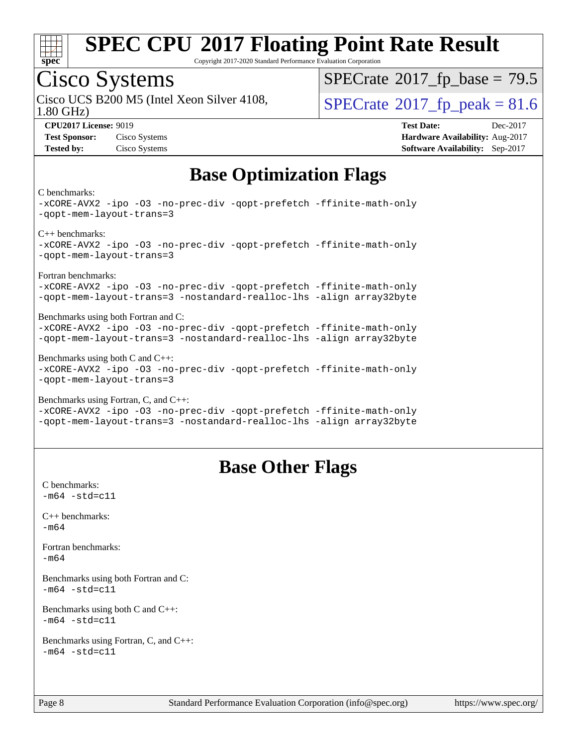

Copyright 2017-2020 Standard Performance Evaluation Corporation

## Cisco Systems

1.80 GHz) Cisco UCS B200 M5 (Intel Xeon Silver 4108,  $\vert$ [SPECrate](http://www.spec.org/auto/cpu2017/Docs/result-fields.html#SPECrate2017fppeak)®[2017\\_fp\\_peak = 8](http://www.spec.org/auto/cpu2017/Docs/result-fields.html#SPECrate2017fppeak)1.6

 $SPECTate@2017_fp\_base = 79.5$ 

**[CPU2017 License:](http://www.spec.org/auto/cpu2017/Docs/result-fields.html#CPU2017License)** 9019 **[Test Date:](http://www.spec.org/auto/cpu2017/Docs/result-fields.html#TestDate)** Dec-2017 **[Test Sponsor:](http://www.spec.org/auto/cpu2017/Docs/result-fields.html#TestSponsor)** Cisco Systems **[Hardware Availability:](http://www.spec.org/auto/cpu2017/Docs/result-fields.html#HardwareAvailability)** Aug-2017 **[Tested by:](http://www.spec.org/auto/cpu2017/Docs/result-fields.html#Testedby)** Cisco Systems **[Software Availability:](http://www.spec.org/auto/cpu2017/Docs/result-fields.html#SoftwareAvailability)** Sep-2017

### **[Base Optimization Flags](http://www.spec.org/auto/cpu2017/Docs/result-fields.html#BaseOptimizationFlags)**

#### [C benchmarks:](http://www.spec.org/auto/cpu2017/Docs/result-fields.html#Cbenchmarks)

[-xCORE-AVX2](http://www.spec.org/cpu2017/results/res2018q1/cpu2017-20171225-02052.flags.html#user_CCbase_f-xCORE-AVX2) [-ipo](http://www.spec.org/cpu2017/results/res2018q1/cpu2017-20171225-02052.flags.html#user_CCbase_f-ipo) [-O3](http://www.spec.org/cpu2017/results/res2018q1/cpu2017-20171225-02052.flags.html#user_CCbase_f-O3) [-no-prec-div](http://www.spec.org/cpu2017/results/res2018q1/cpu2017-20171225-02052.flags.html#user_CCbase_f-no-prec-div) [-qopt-prefetch](http://www.spec.org/cpu2017/results/res2018q1/cpu2017-20171225-02052.flags.html#user_CCbase_f-qopt-prefetch) [-ffinite-math-only](http://www.spec.org/cpu2017/results/res2018q1/cpu2017-20171225-02052.flags.html#user_CCbase_f_finite_math_only_cb91587bd2077682c4b38af759c288ed7c732db004271a9512da14a4f8007909a5f1427ecbf1a0fb78ff2a814402c6114ac565ca162485bbcae155b5e4258871) [-qopt-mem-layout-trans=3](http://www.spec.org/cpu2017/results/res2018q1/cpu2017-20171225-02052.flags.html#user_CCbase_f-qopt-mem-layout-trans_de80db37974c74b1f0e20d883f0b675c88c3b01e9d123adea9b28688d64333345fb62bc4a798493513fdb68f60282f9a726aa07f478b2f7113531aecce732043) [C++ benchmarks](http://www.spec.org/auto/cpu2017/Docs/result-fields.html#CXXbenchmarks): [-xCORE-AVX2](http://www.spec.org/cpu2017/results/res2018q1/cpu2017-20171225-02052.flags.html#user_CXXbase_f-xCORE-AVX2) [-ipo](http://www.spec.org/cpu2017/results/res2018q1/cpu2017-20171225-02052.flags.html#user_CXXbase_f-ipo) [-O3](http://www.spec.org/cpu2017/results/res2018q1/cpu2017-20171225-02052.flags.html#user_CXXbase_f-O3) [-no-prec-div](http://www.spec.org/cpu2017/results/res2018q1/cpu2017-20171225-02052.flags.html#user_CXXbase_f-no-prec-div) [-qopt-prefetch](http://www.spec.org/cpu2017/results/res2018q1/cpu2017-20171225-02052.flags.html#user_CXXbase_f-qopt-prefetch) [-ffinite-math-only](http://www.spec.org/cpu2017/results/res2018q1/cpu2017-20171225-02052.flags.html#user_CXXbase_f_finite_math_only_cb91587bd2077682c4b38af759c288ed7c732db004271a9512da14a4f8007909a5f1427ecbf1a0fb78ff2a814402c6114ac565ca162485bbcae155b5e4258871) [-qopt-mem-layout-trans=3](http://www.spec.org/cpu2017/results/res2018q1/cpu2017-20171225-02052.flags.html#user_CXXbase_f-qopt-mem-layout-trans_de80db37974c74b1f0e20d883f0b675c88c3b01e9d123adea9b28688d64333345fb62bc4a798493513fdb68f60282f9a726aa07f478b2f7113531aecce732043) [Fortran benchmarks:](http://www.spec.org/auto/cpu2017/Docs/result-fields.html#Fortranbenchmarks) [-xCORE-AVX2](http://www.spec.org/cpu2017/results/res2018q1/cpu2017-20171225-02052.flags.html#user_FCbase_f-xCORE-AVX2) [-ipo](http://www.spec.org/cpu2017/results/res2018q1/cpu2017-20171225-02052.flags.html#user_FCbase_f-ipo) [-O3](http://www.spec.org/cpu2017/results/res2018q1/cpu2017-20171225-02052.flags.html#user_FCbase_f-O3) [-no-prec-div](http://www.spec.org/cpu2017/results/res2018q1/cpu2017-20171225-02052.flags.html#user_FCbase_f-no-prec-div) [-qopt-prefetch](http://www.spec.org/cpu2017/results/res2018q1/cpu2017-20171225-02052.flags.html#user_FCbase_f-qopt-prefetch) [-ffinite-math-only](http://www.spec.org/cpu2017/results/res2018q1/cpu2017-20171225-02052.flags.html#user_FCbase_f_finite_math_only_cb91587bd2077682c4b38af759c288ed7c732db004271a9512da14a4f8007909a5f1427ecbf1a0fb78ff2a814402c6114ac565ca162485bbcae155b5e4258871) [-qopt-mem-layout-trans=3](http://www.spec.org/cpu2017/results/res2018q1/cpu2017-20171225-02052.flags.html#user_FCbase_f-qopt-mem-layout-trans_de80db37974c74b1f0e20d883f0b675c88c3b01e9d123adea9b28688d64333345fb62bc4a798493513fdb68f60282f9a726aa07f478b2f7113531aecce732043) [-nostandard-realloc-lhs](http://www.spec.org/cpu2017/results/res2018q1/cpu2017-20171225-02052.flags.html#user_FCbase_f_2003_std_realloc_82b4557e90729c0f113870c07e44d33d6f5a304b4f63d4c15d2d0f1fab99f5daaed73bdb9275d9ae411527f28b936061aa8b9c8f2d63842963b95c9dd6426b8a) [-align array32byte](http://www.spec.org/cpu2017/results/res2018q1/cpu2017-20171225-02052.flags.html#user_FCbase_align_array32byte_b982fe038af199962ba9a80c053b8342c548c85b40b8e86eb3cc33dee0d7986a4af373ac2d51c3f7cf710a18d62fdce2948f201cd044323541f22fc0fffc51b6) [Benchmarks using both Fortran and C:](http://www.spec.org/auto/cpu2017/Docs/result-fields.html#BenchmarksusingbothFortranandC) [-xCORE-AVX2](http://www.spec.org/cpu2017/results/res2018q1/cpu2017-20171225-02052.flags.html#user_CC_FCbase_f-xCORE-AVX2) [-ipo](http://www.spec.org/cpu2017/results/res2018q1/cpu2017-20171225-02052.flags.html#user_CC_FCbase_f-ipo) [-O3](http://www.spec.org/cpu2017/results/res2018q1/cpu2017-20171225-02052.flags.html#user_CC_FCbase_f-O3) [-no-prec-div](http://www.spec.org/cpu2017/results/res2018q1/cpu2017-20171225-02052.flags.html#user_CC_FCbase_f-no-prec-div) [-qopt-prefetch](http://www.spec.org/cpu2017/results/res2018q1/cpu2017-20171225-02052.flags.html#user_CC_FCbase_f-qopt-prefetch) [-ffinite-math-only](http://www.spec.org/cpu2017/results/res2018q1/cpu2017-20171225-02052.flags.html#user_CC_FCbase_f_finite_math_only_cb91587bd2077682c4b38af759c288ed7c732db004271a9512da14a4f8007909a5f1427ecbf1a0fb78ff2a814402c6114ac565ca162485bbcae155b5e4258871) [-qopt-mem-layout-trans=3](http://www.spec.org/cpu2017/results/res2018q1/cpu2017-20171225-02052.flags.html#user_CC_FCbase_f-qopt-mem-layout-trans_de80db37974c74b1f0e20d883f0b675c88c3b01e9d123adea9b28688d64333345fb62bc4a798493513fdb68f60282f9a726aa07f478b2f7113531aecce732043) [-nostandard-realloc-lhs](http://www.spec.org/cpu2017/results/res2018q1/cpu2017-20171225-02052.flags.html#user_CC_FCbase_f_2003_std_realloc_82b4557e90729c0f113870c07e44d33d6f5a304b4f63d4c15d2d0f1fab99f5daaed73bdb9275d9ae411527f28b936061aa8b9c8f2d63842963b95c9dd6426b8a) [-align array32byte](http://www.spec.org/cpu2017/results/res2018q1/cpu2017-20171225-02052.flags.html#user_CC_FCbase_align_array32byte_b982fe038af199962ba9a80c053b8342c548c85b40b8e86eb3cc33dee0d7986a4af373ac2d51c3f7cf710a18d62fdce2948f201cd044323541f22fc0fffc51b6) [Benchmarks using both C and C++](http://www.spec.org/auto/cpu2017/Docs/result-fields.html#BenchmarksusingbothCandCXX): [-xCORE-AVX2](http://www.spec.org/cpu2017/results/res2018q1/cpu2017-20171225-02052.flags.html#user_CC_CXXbase_f-xCORE-AVX2) [-ipo](http://www.spec.org/cpu2017/results/res2018q1/cpu2017-20171225-02052.flags.html#user_CC_CXXbase_f-ipo) [-O3](http://www.spec.org/cpu2017/results/res2018q1/cpu2017-20171225-02052.flags.html#user_CC_CXXbase_f-O3) [-no-prec-div](http://www.spec.org/cpu2017/results/res2018q1/cpu2017-20171225-02052.flags.html#user_CC_CXXbase_f-no-prec-div) [-qopt-prefetch](http://www.spec.org/cpu2017/results/res2018q1/cpu2017-20171225-02052.flags.html#user_CC_CXXbase_f-qopt-prefetch) [-ffinite-math-only](http://www.spec.org/cpu2017/results/res2018q1/cpu2017-20171225-02052.flags.html#user_CC_CXXbase_f_finite_math_only_cb91587bd2077682c4b38af759c288ed7c732db004271a9512da14a4f8007909a5f1427ecbf1a0fb78ff2a814402c6114ac565ca162485bbcae155b5e4258871) [-qopt-mem-layout-trans=3](http://www.spec.org/cpu2017/results/res2018q1/cpu2017-20171225-02052.flags.html#user_CC_CXXbase_f-qopt-mem-layout-trans_de80db37974c74b1f0e20d883f0b675c88c3b01e9d123adea9b28688d64333345fb62bc4a798493513fdb68f60282f9a726aa07f478b2f7113531aecce732043) [Benchmarks using Fortran, C, and C++](http://www.spec.org/auto/cpu2017/Docs/result-fields.html#BenchmarksusingFortranCandCXX): [-xCORE-AVX2](http://www.spec.org/cpu2017/results/res2018q1/cpu2017-20171225-02052.flags.html#user_CC_CXX_FCbase_f-xCORE-AVX2) [-ipo](http://www.spec.org/cpu2017/results/res2018q1/cpu2017-20171225-02052.flags.html#user_CC_CXX_FCbase_f-ipo) [-O3](http://www.spec.org/cpu2017/results/res2018q1/cpu2017-20171225-02052.flags.html#user_CC_CXX_FCbase_f-O3) [-no-prec-div](http://www.spec.org/cpu2017/results/res2018q1/cpu2017-20171225-02052.flags.html#user_CC_CXX_FCbase_f-no-prec-div) [-qopt-prefetch](http://www.spec.org/cpu2017/results/res2018q1/cpu2017-20171225-02052.flags.html#user_CC_CXX_FCbase_f-qopt-prefetch) [-ffinite-math-only](http://www.spec.org/cpu2017/results/res2018q1/cpu2017-20171225-02052.flags.html#user_CC_CXX_FCbase_f_finite_math_only_cb91587bd2077682c4b38af759c288ed7c732db004271a9512da14a4f8007909a5f1427ecbf1a0fb78ff2a814402c6114ac565ca162485bbcae155b5e4258871)

[-qopt-mem-layout-trans=3](http://www.spec.org/cpu2017/results/res2018q1/cpu2017-20171225-02052.flags.html#user_CC_CXX_FCbase_f-qopt-mem-layout-trans_de80db37974c74b1f0e20d883f0b675c88c3b01e9d123adea9b28688d64333345fb62bc4a798493513fdb68f60282f9a726aa07f478b2f7113531aecce732043) [-nostandard-realloc-lhs](http://www.spec.org/cpu2017/results/res2018q1/cpu2017-20171225-02052.flags.html#user_CC_CXX_FCbase_f_2003_std_realloc_82b4557e90729c0f113870c07e44d33d6f5a304b4f63d4c15d2d0f1fab99f5daaed73bdb9275d9ae411527f28b936061aa8b9c8f2d63842963b95c9dd6426b8a) [-align array32byte](http://www.spec.org/cpu2017/results/res2018q1/cpu2017-20171225-02052.flags.html#user_CC_CXX_FCbase_align_array32byte_b982fe038af199962ba9a80c053b8342c548c85b40b8e86eb3cc33dee0d7986a4af373ac2d51c3f7cf710a18d62fdce2948f201cd044323541f22fc0fffc51b6)

### **[Base Other Flags](http://www.spec.org/auto/cpu2017/Docs/result-fields.html#BaseOtherFlags)**

[C benchmarks](http://www.spec.org/auto/cpu2017/Docs/result-fields.html#Cbenchmarks):  $-m64 - std = c11$  $-m64 - std = c11$ [C++ benchmarks:](http://www.spec.org/auto/cpu2017/Docs/result-fields.html#CXXbenchmarks) [-m64](http://www.spec.org/cpu2017/results/res2018q1/cpu2017-20171225-02052.flags.html#user_CXXbase_intel_intel64_18.0_af43caccfc8ded86e7699f2159af6efc7655f51387b94da716254467f3c01020a5059329e2569e4053f409e7c9202a7efc638f7a6d1ffb3f52dea4a3e31d82ab) [Fortran benchmarks](http://www.spec.org/auto/cpu2017/Docs/result-fields.html#Fortranbenchmarks): [-m64](http://www.spec.org/cpu2017/results/res2018q1/cpu2017-20171225-02052.flags.html#user_FCbase_intel_intel64_18.0_af43caccfc8ded86e7699f2159af6efc7655f51387b94da716254467f3c01020a5059329e2569e4053f409e7c9202a7efc638f7a6d1ffb3f52dea4a3e31d82ab) [Benchmarks using both Fortran and C](http://www.spec.org/auto/cpu2017/Docs/result-fields.html#BenchmarksusingbothFortranandC):  $-m64$   $-std=cl1$ [Benchmarks using both C and C++](http://www.spec.org/auto/cpu2017/Docs/result-fields.html#BenchmarksusingbothCandCXX):  $-m64 - std= c11$  $-m64 - std= c11$ [Benchmarks using Fortran, C, and C++:](http://www.spec.org/auto/cpu2017/Docs/result-fields.html#BenchmarksusingFortranCandCXX)  $-m64 - std = c11$  $-m64 - std = c11$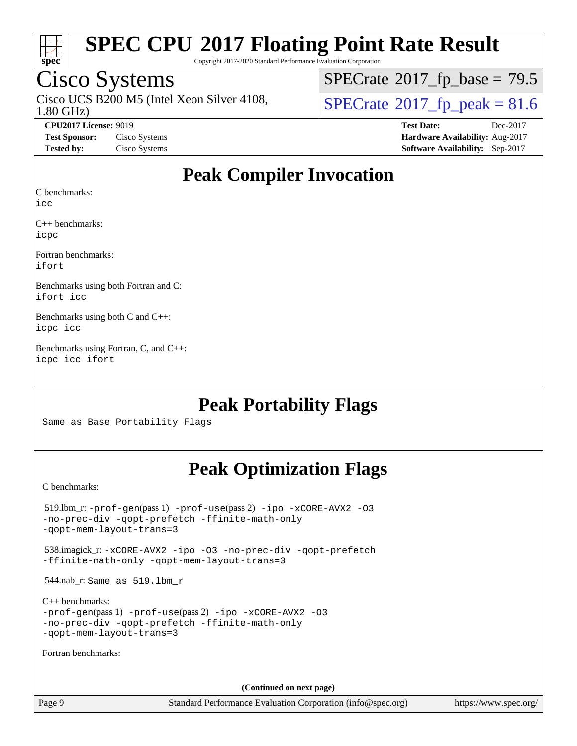

Copyright 2017-2020 Standard Performance Evaluation Corporation

## Cisco Systems

1.80 GHz) Cisco UCS B200 M5 (Intel Xeon Silver 4108,  $\overline{SPECrate}$  $\overline{SPECrate}$  $\overline{SPECrate}$ <sup>®</sup>[2017\\_fp\\_peak = 8](http://www.spec.org/auto/cpu2017/Docs/result-fields.html#SPECrate2017fppeak)1.6

 $SPECrate$ <sup>®</sup>[2017\\_fp\\_base =](http://www.spec.org/auto/cpu2017/Docs/result-fields.html#SPECrate2017fpbase) 79.5

**[CPU2017 License:](http://www.spec.org/auto/cpu2017/Docs/result-fields.html#CPU2017License)** 9019 **[Test Date:](http://www.spec.org/auto/cpu2017/Docs/result-fields.html#TestDate)** Dec-2017 **[Test Sponsor:](http://www.spec.org/auto/cpu2017/Docs/result-fields.html#TestSponsor)** Cisco Systems **[Hardware Availability:](http://www.spec.org/auto/cpu2017/Docs/result-fields.html#HardwareAvailability)** Aug-2017 **[Tested by:](http://www.spec.org/auto/cpu2017/Docs/result-fields.html#Testedby)** Cisco Systems **[Software Availability:](http://www.spec.org/auto/cpu2017/Docs/result-fields.html#SoftwareAvailability)** Sep-2017

### **[Peak Compiler Invocation](http://www.spec.org/auto/cpu2017/Docs/result-fields.html#PeakCompilerInvocation)**

[C benchmarks](http://www.spec.org/auto/cpu2017/Docs/result-fields.html#Cbenchmarks):

[icc](http://www.spec.org/cpu2017/results/res2018q1/cpu2017-20171225-02052.flags.html#user_CCpeak_intel_icc_18.0_66fc1ee009f7361af1fbd72ca7dcefbb700085f36577c54f309893dd4ec40d12360134090235512931783d35fd58c0460139e722d5067c5574d8eaf2b3e37e92)

[C++ benchmarks:](http://www.spec.org/auto/cpu2017/Docs/result-fields.html#CXXbenchmarks) [icpc](http://www.spec.org/cpu2017/results/res2018q1/cpu2017-20171225-02052.flags.html#user_CXXpeak_intel_icpc_18.0_c510b6838c7f56d33e37e94d029a35b4a7bccf4766a728ee175e80a419847e808290a9b78be685c44ab727ea267ec2f070ec5dc83b407c0218cded6866a35d07)

[Fortran benchmarks](http://www.spec.org/auto/cpu2017/Docs/result-fields.html#Fortranbenchmarks): [ifort](http://www.spec.org/cpu2017/results/res2018q1/cpu2017-20171225-02052.flags.html#user_FCpeak_intel_ifort_18.0_8111460550e3ca792625aed983ce982f94888b8b503583aa7ba2b8303487b4d8a21a13e7191a45c5fd58ff318f48f9492884d4413fa793fd88dd292cad7027ca)

[Benchmarks using both Fortran and C](http://www.spec.org/auto/cpu2017/Docs/result-fields.html#BenchmarksusingbothFortranandC): [ifort](http://www.spec.org/cpu2017/results/res2018q1/cpu2017-20171225-02052.flags.html#user_CC_FCpeak_intel_ifort_18.0_8111460550e3ca792625aed983ce982f94888b8b503583aa7ba2b8303487b4d8a21a13e7191a45c5fd58ff318f48f9492884d4413fa793fd88dd292cad7027ca) [icc](http://www.spec.org/cpu2017/results/res2018q1/cpu2017-20171225-02052.flags.html#user_CC_FCpeak_intel_icc_18.0_66fc1ee009f7361af1fbd72ca7dcefbb700085f36577c54f309893dd4ec40d12360134090235512931783d35fd58c0460139e722d5067c5574d8eaf2b3e37e92)

[Benchmarks using both C and C++:](http://www.spec.org/auto/cpu2017/Docs/result-fields.html#BenchmarksusingbothCandCXX) [icpc](http://www.spec.org/cpu2017/results/res2018q1/cpu2017-20171225-02052.flags.html#user_CC_CXXpeak_intel_icpc_18.0_c510b6838c7f56d33e37e94d029a35b4a7bccf4766a728ee175e80a419847e808290a9b78be685c44ab727ea267ec2f070ec5dc83b407c0218cded6866a35d07) [icc](http://www.spec.org/cpu2017/results/res2018q1/cpu2017-20171225-02052.flags.html#user_CC_CXXpeak_intel_icc_18.0_66fc1ee009f7361af1fbd72ca7dcefbb700085f36577c54f309893dd4ec40d12360134090235512931783d35fd58c0460139e722d5067c5574d8eaf2b3e37e92)

[Benchmarks using Fortran, C, and C++](http://www.spec.org/auto/cpu2017/Docs/result-fields.html#BenchmarksusingFortranCandCXX): [icpc](http://www.spec.org/cpu2017/results/res2018q1/cpu2017-20171225-02052.flags.html#user_CC_CXX_FCpeak_intel_icpc_18.0_c510b6838c7f56d33e37e94d029a35b4a7bccf4766a728ee175e80a419847e808290a9b78be685c44ab727ea267ec2f070ec5dc83b407c0218cded6866a35d07) [icc](http://www.spec.org/cpu2017/results/res2018q1/cpu2017-20171225-02052.flags.html#user_CC_CXX_FCpeak_intel_icc_18.0_66fc1ee009f7361af1fbd72ca7dcefbb700085f36577c54f309893dd4ec40d12360134090235512931783d35fd58c0460139e722d5067c5574d8eaf2b3e37e92) [ifort](http://www.spec.org/cpu2017/results/res2018q1/cpu2017-20171225-02052.flags.html#user_CC_CXX_FCpeak_intel_ifort_18.0_8111460550e3ca792625aed983ce982f94888b8b503583aa7ba2b8303487b4d8a21a13e7191a45c5fd58ff318f48f9492884d4413fa793fd88dd292cad7027ca)

### **[Peak Portability Flags](http://www.spec.org/auto/cpu2017/Docs/result-fields.html#PeakPortabilityFlags)**

Same as Base Portability Flags

### **[Peak Optimization Flags](http://www.spec.org/auto/cpu2017/Docs/result-fields.html#PeakOptimizationFlags)**

[C benchmarks](http://www.spec.org/auto/cpu2017/Docs/result-fields.html#Cbenchmarks):

| $519.$ lbm_r: -prof-qen(pass 1) -prof-use(pass 2) -ipo -xCORE-AVX2 -03<br>-no-prec-div -qopt-prefetch -ffinite-math-only<br>-gopt-mem-layout-trans=3             |
|------------------------------------------------------------------------------------------------------------------------------------------------------------------|
| 538.imagick_r: -xCORE-AVX2 -ipo -03 -no-prec-div -qopt-prefetch<br>-ffinite-math-only -gopt-mem-layout-trans=3                                                   |
| $544$ .nab_r: Same as $519$ .lbm r                                                                                                                               |
| $C_{++}$ benchmarks:<br>$-prof-qen(pass 1) -prof-use(pass 2) -ipo -xCORE-AVX2 -O3$<br>-no-prec-div -qopt-prefetch -ffinite-math-only<br>-gopt-mem-layout-trans=3 |
| Fortran benchmarks:                                                                                                                                              |
|                                                                                                                                                                  |
| (Continued on next page)                                                                                                                                         |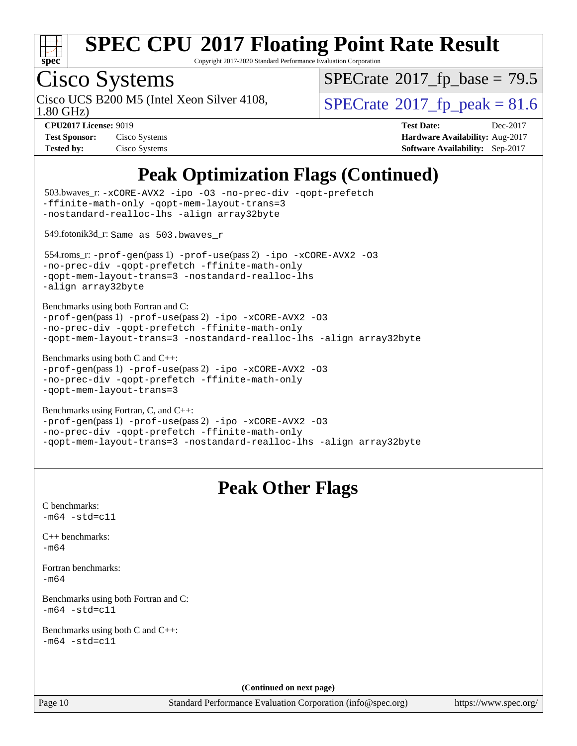

Copyright 2017-2020 Standard Performance Evaluation Corporation

# Cisco Systems<br>Cisco UCS B200 M5 (Intel Xeon Silver 4108,

1.80 GHz)

 $SPECrate$ <sup>®</sup>[2017\\_fp\\_base =](http://www.spec.org/auto/cpu2017/Docs/result-fields.html#SPECrate2017fpbase) 79.5

 $SPECrate<sup>®</sup>2017_fp_peak = 81.6$  $SPECrate<sup>®</sup>2017_fp_peak = 81.6$  $SPECrate<sup>®</sup>2017_fp_peak = 81.6$  $SPECrate<sup>®</sup>2017_fp_peak = 81.6$ 

| <b>Test Sponsor:</b> | Cisco Systems |
|----------------------|---------------|
| <b>Tested by:</b>    | Cisco Systems |

**[CPU2017 License:](http://www.spec.org/auto/cpu2017/Docs/result-fields.html#CPU2017License)** 9019 **[Test Date:](http://www.spec.org/auto/cpu2017/Docs/result-fields.html#TestDate)** Dec-2017 **[Hardware Availability:](http://www.spec.org/auto/cpu2017/Docs/result-fields.html#HardwareAvailability)** Aug-2017 **[Software Availability:](http://www.spec.org/auto/cpu2017/Docs/result-fields.html#SoftwareAvailability)** Sep-2017

### **[Peak Optimization Flags \(Continued\)](http://www.spec.org/auto/cpu2017/Docs/result-fields.html#PeakOptimizationFlags)**

| Page 10                                                      | Standard Performance Evaluation Corporation (info@spec.org)                                                                                                                       |
|--------------------------------------------------------------|-----------------------------------------------------------------------------------------------------------------------------------------------------------------------------------|
|                                                              | (Continued on next page)                                                                                                                                                          |
|                                                              |                                                                                                                                                                                   |
| Benchmarks using both C and C++:<br>$-m64 - std= c11$        |                                                                                                                                                                                   |
| Benchmarks using both Fortran and C:<br>m64 -std=c11         |                                                                                                                                                                                   |
| Fortran benchmarks:<br>$-m64$                                |                                                                                                                                                                                   |
| C++ benchmarks:<br>$-m64$                                    |                                                                                                                                                                                   |
| C benchmarks:<br>$-m64 - std= c11$                           |                                                                                                                                                                                   |
|                                                              | <b>Peak Other Flags</b>                                                                                                                                                           |
| Benchmarks using Fortran, C, and C++:                        | -prof-gen(pass 1) -prof-use(pass 2) -ipo -xCORE-AVX2 -03<br>-no-prec-div -qopt-prefetch -ffinite-math-only<br>-qopt-mem-layout-trans=3 -nostandard-realloc-lhs -align array32byte |
| Benchmarks using both C and C++:<br>-qopt-mem-layout-trans=3 | -prof-gen(pass 1) -prof-use(pass 2) -ipo -xCORE-AVX2 -03<br>-no-prec-div -qopt-prefetch -ffinite-math-only                                                                        |
| Benchmarks using both Fortran and C:                         | -prof-gen(pass 1) -prof-use(pass 2) -ipo -xCORE-AVX2 -03<br>-no-prec-div -qopt-prefetch -ffinite-math-only<br>-qopt-mem-layout-trans=3 -nostandard-realloc-lhs -align array32byte |
| -align array32byte                                           | 554.roms_r: -prof-gen(pass 1) -prof-use(pass 2) -ipo -xCORE-AVX2 -03<br>-no-prec-div -qopt-prefetch -ffinite-math-only<br>-qopt-mem-layout-trans=3 -nostandard-realloc-lhs        |
| 549.fotonik3d_r: Same as 503.bwaves_r                        |                                                                                                                                                                                   |
|                                                              | 503.bwaves_r: -xCORE-AVX2 -ipo -03 -no-prec-div -qopt-prefetch<br>-ffinite-math-only -qopt-mem-layout-trans=3<br>-nostandard-realloc-lhs -align array32byte                       |